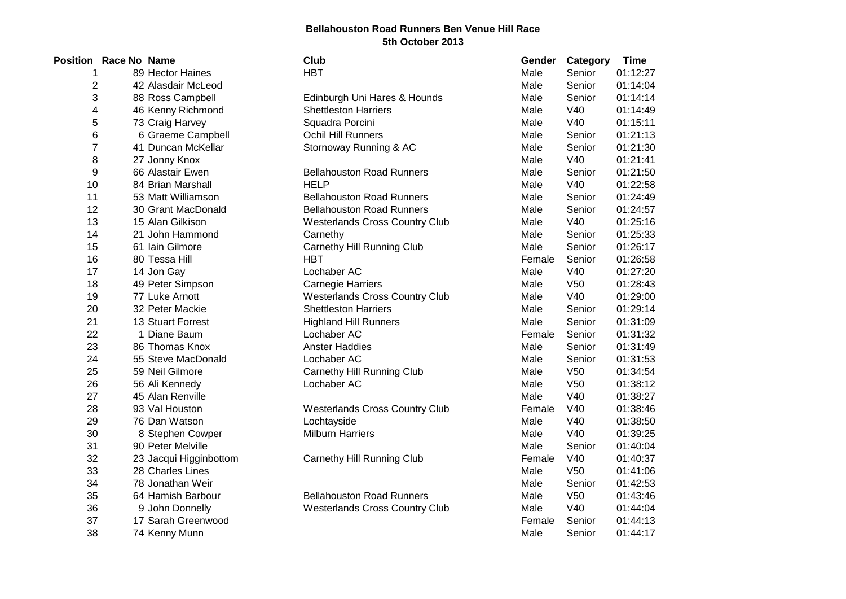## **Bellahouston Road Runners Ben Venue Hill Race 5th October 2013**

|                | <b>Position Race No Name</b> |                        | Club                                  | Gender | Category        | <b>Time</b> |
|----------------|------------------------------|------------------------|---------------------------------------|--------|-----------------|-------------|
| 1              |                              | 89 Hector Haines       | <b>HBT</b>                            | Male   | Senior          | 01:12:27    |
| $\overline{2}$ |                              | 42 Alasdair McLeod     |                                       | Male   | Senior          | 01:14:04    |
| 3              |                              | 88 Ross Campbell       | Edinburgh Uni Hares & Hounds          | Male   | Senior          | 01:14:14    |
| 4              |                              | 46 Kenny Richmond      | <b>Shettleston Harriers</b>           | Male   | V40             | 01:14:49    |
| 5              |                              | 73 Craig Harvey        | Squadra Porcini                       | Male   | V40             | 01:15:11    |
| 6              |                              | 6 Graeme Campbell      | <b>Ochil Hill Runners</b>             | Male   | Senior          | 01:21:13    |
| $\overline{7}$ |                              | 41 Duncan McKellar     | Stornoway Running & AC                | Male   | Senior          | 01:21:30    |
| 8              |                              | 27 Jonny Knox          |                                       | Male   | V40             | 01:21:41    |
| 9              |                              | 66 Alastair Ewen       | <b>Bellahouston Road Runners</b>      | Male   | Senior          | 01:21:50    |
| 10             |                              | 84 Brian Marshall      | <b>HELP</b>                           | Male   | V40             | 01:22:58    |
| 11             |                              | 53 Matt Williamson     | <b>Bellahouston Road Runners</b>      | Male   | Senior          | 01:24:49    |
| 12             |                              | 30 Grant MacDonald     | <b>Bellahouston Road Runners</b>      | Male   | Senior          | 01:24:57    |
| 13             |                              | 15 Alan Gilkison       | <b>Westerlands Cross Country Club</b> | Male   | V40             | 01:25:16    |
| 14             |                              | 21 John Hammond        | Carnethy                              | Male   | Senior          | 01:25:33    |
| 15             |                              | 61 Iain Gilmore        | Carnethy Hill Running Club            | Male   | Senior          | 01:26:17    |
| 16             |                              | 80 Tessa Hill          | <b>HBT</b>                            | Female | Senior          | 01:26:58    |
| 17             |                              | 14 Jon Gay             | Lochaber AC                           | Male   | V40             | 01:27:20    |
| 18             |                              | 49 Peter Simpson       | Carnegie Harriers                     | Male   | V <sub>50</sub> | 01:28:43    |
| 19             |                              | 77 Luke Arnott         | <b>Westerlands Cross Country Club</b> | Male   | V40             | 01:29:00    |
| 20             |                              | 32 Peter Mackie        | <b>Shettleston Harriers</b>           | Male   | Senior          | 01:29:14    |
| 21             |                              | 13 Stuart Forrest      | <b>Highland Hill Runners</b>          | Male   | Senior          | 01:31:09    |
| 22             |                              | 1 Diane Baum           | Lochaber AC                           | Female | Senior          | 01:31:32    |
| 23             |                              | 86 Thomas Knox         | <b>Anster Haddies</b>                 | Male   | Senior          | 01:31:49    |
| 24             |                              | 55 Steve MacDonald     | Lochaber AC                           | Male   | Senior          | 01:31:53    |
| 25             |                              | 59 Neil Gilmore        | Carnethy Hill Running Club            | Male   | V <sub>50</sub> | 01:34:54    |
| 26             |                              | 56 Ali Kennedy         | Lochaber AC                           | Male   | V <sub>50</sub> | 01:38:12    |
| 27             |                              | 45 Alan Renville       |                                       | Male   | V40             | 01:38:27    |
| 28             |                              | 93 Val Houston         | <b>Westerlands Cross Country Club</b> | Female | V40             | 01:38:46    |
| 29             |                              | 76 Dan Watson          | Lochtayside                           | Male   | V40             | 01:38:50    |
| 30             |                              | 8 Stephen Cowper       | <b>Milburn Harriers</b>               | Male   | V40             | 01:39:25    |
| 31             |                              | 90 Peter Melville      |                                       | Male   | Senior          | 01:40:04    |
| 32             |                              | 23 Jacqui Higginbottom | Carnethy Hill Running Club            | Female | V40             | 01:40:37    |
| 33             |                              | 28 Charles Lines       |                                       | Male   | V <sub>50</sub> | 01:41:06    |
| 34             |                              | 78 Jonathan Weir       |                                       | Male   | Senior          | 01:42:53    |
| 35             |                              | 64 Hamish Barbour      | <b>Bellahouston Road Runners</b>      | Male   | V <sub>50</sub> | 01:43:46    |
| 36             |                              | 9 John Donnelly        | <b>Westerlands Cross Country Club</b> | Male   | V40             | 01:44:04    |
| 37             |                              | 17 Sarah Greenwood     |                                       | Female | Senior          | 01:44:13    |
| 38             |                              | 74 Kenny Munn          |                                       | Male   | Senior          | 01:44:17    |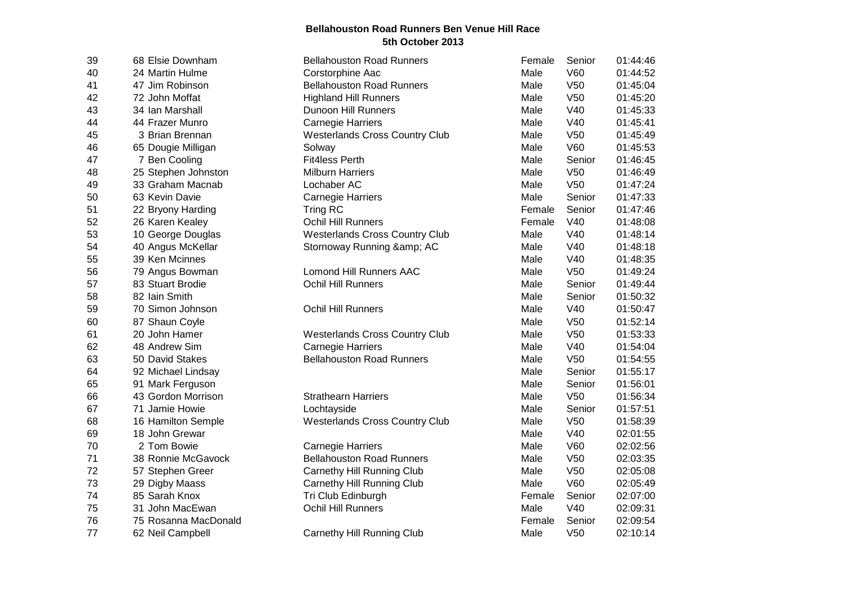## **Bellahouston Road Runners Ben Venue Hill Race 5th October 2013**

| 39 | 68 Elsie Downham     | <b>Bellahouston Road Runners</b>      | Female | Senior          | 01:44:46 |
|----|----------------------|---------------------------------------|--------|-----------------|----------|
| 40 | 24 Martin Hulme      | Corstorphine Aac                      | Male   | <b>V60</b>      | 01:44:52 |
| 41 | 47 Jim Robinson      | <b>Bellahouston Road Runners</b>      | Male   | V <sub>50</sub> | 01:45:04 |
| 42 | 72 John Moffat       | <b>Highland Hill Runners</b>          | Male   | V <sub>50</sub> | 01:45:20 |
| 43 | 34 Ian Marshall      | Dunoon Hill Runners                   | Male   | V40             | 01:45:33 |
| 44 | 44 Frazer Munro      | <b>Carnegie Harriers</b>              | Male   | V40             | 01:45:41 |
| 45 | 3 Brian Brennan      | <b>Westerlands Cross Country Club</b> | Male   | V <sub>50</sub> | 01:45:49 |
| 46 | 65 Dougie Milligan   | Solway                                | Male   | <b>V60</b>      | 01:45:53 |
| 47 | 7 Ben Cooling        | <b>Fit4less Perth</b>                 | Male   | Senior          | 01:46:45 |
| 48 | 25 Stephen Johnston  | <b>Milburn Harriers</b>               | Male   | V <sub>50</sub> | 01:46:49 |
| 49 | 33 Graham Macnab     | Lochaber AC                           | Male   | V <sub>50</sub> | 01:47:24 |
| 50 | 63 Kevin Davie       | <b>Carnegie Harriers</b>              | Male   | Senior          | 01:47:33 |
| 51 | 22 Bryony Harding    | Tring RC                              | Female | Senior          | 01:47:46 |
| 52 | 26 Karen Kealey      | Ochil Hill Runners                    | Female | V40             | 01:48:08 |
| 53 | 10 George Douglas    | <b>Westerlands Cross Country Club</b> | Male   | V40             | 01:48:14 |
| 54 | 40 Angus McKellar    | Stornoway Running & AC                | Male   | V40             | 01:48:18 |
| 55 | 39 Ken Mcinnes       |                                       | Male   | V40             | 01:48:35 |
| 56 | 79 Angus Bowman      | <b>Lomond Hill Runners AAC</b>        | Male   | V <sub>50</sub> | 01:49:24 |
| 57 | 83 Stuart Brodie     | Ochil Hill Runners                    | Male   | Senior          | 01:49:44 |
| 58 | 82 Iain Smith        |                                       | Male   | Senior          | 01:50:32 |
| 59 | 70 Simon Johnson     | Ochil Hill Runners                    | Male   | V40             | 01:50:47 |
| 60 | 87 Shaun Coyle       |                                       | Male   | V <sub>50</sub> | 01:52:14 |
| 61 | 20 John Hamer        | <b>Westerlands Cross Country Club</b> | Male   | V <sub>50</sub> | 01:53:33 |
| 62 | 48 Andrew Sim        | <b>Carnegie Harriers</b>              | Male   | V40             | 01:54:04 |
| 63 | 50 David Stakes      | <b>Bellahouston Road Runners</b>      | Male   | V <sub>50</sub> | 01:54:55 |
| 64 | 92 Michael Lindsay   |                                       | Male   | Senior          | 01:55:17 |
| 65 | 91 Mark Ferguson     |                                       | Male   | Senior          | 01:56:01 |
| 66 | 43 Gordon Morrison   | <b>Strathearn Harriers</b>            | Male   | V <sub>50</sub> | 01:56:34 |
| 67 | 71 Jamie Howie       | Lochtayside                           | Male   | Senior          | 01:57:51 |
| 68 | 16 Hamilton Semple   | <b>Westerlands Cross Country Club</b> | Male   | V <sub>50</sub> | 01:58:39 |
| 69 | 18 John Grewar       |                                       | Male   | V40             | 02:01:55 |
| 70 | 2 Tom Bowie          | <b>Carnegie Harriers</b>              | Male   | V60             | 02:02:56 |
| 71 | 38 Ronnie McGavock   | <b>Bellahouston Road Runners</b>      | Male   | V <sub>50</sub> | 02:03:35 |
| 72 | 57 Stephen Greer     | Carnethy Hill Running Club            | Male   | V <sub>50</sub> | 02:05:08 |
| 73 | 29 Digby Maass       | Carnethy Hill Running Club            | Male   | V60             | 02:05:49 |
| 74 | 85 Sarah Knox        | Tri Club Edinburgh                    | Female | Senior          | 02:07:00 |
| 75 | 31 John MacEwan      | <b>Ochil Hill Runners</b>             | Male   | V40             | 02:09:31 |
| 76 | 75 Rosanna MacDonald |                                       | Female | Senior          | 02:09:54 |
| 77 | 62 Neil Campbell     | Carnethy Hill Running Club            | Male   | V <sub>50</sub> | 02:10:14 |